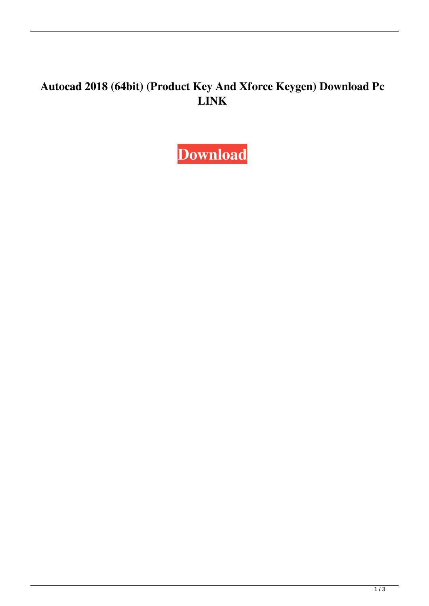## **Autocad 2018 (64bit) (Product Key And Xforce Keygen) Download Pc LINK**

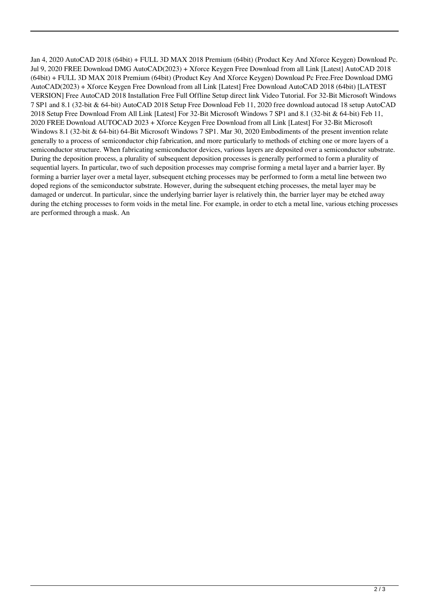Jan 4, 2020 AutoCAD 2018 (64bit) + FULL 3D MAX 2018 Premium (64bit) (Product Key And Xforce Keygen) Download Pc. Jul 9, 2020 FREE Download DMG AutoCAD(2023) + Xforce Keygen Free Download from all Link [Latest] AutoCAD 2018 (64bit) + FULL 3D MAX 2018 Premium (64bit) (Product Key And Xforce Keygen) Download Pc Free.Free Download DMG AutoCAD(2023) + Xforce Keygen Free Download from all Link [Latest] Free Download AutoCAD 2018 (64bit) [LATEST VERSION] Free AutoCAD 2018 Installation Free Full Offline Setup direct link Video Tutorial. For 32-Bit Microsoft Windows 7 SP1 and 8.1 (32-bit & 64-bit) AutoCAD 2018 Setup Free Download Feb 11, 2020 free download autocad 18 setup AutoCAD 2018 Setup Free Download From All Link [Latest] For 32-Bit Microsoft Windows 7 SP1 and 8.1 (32-bit & 64-bit) Feb 11, 2020 FREE Download AUTOCAD 2023 + Xforce Keygen Free Download from all Link [Latest] For 32-Bit Microsoft Windows 8.1 (32-bit & 64-bit) 64-Bit Microsoft Windows 7 SP1. Mar 30, 2020 Embodiments of the present invention relate generally to a process of semiconductor chip fabrication, and more particularly to methods of etching one or more layers of a semiconductor structure. When fabricating semiconductor devices, various layers are deposited over a semiconductor substrate. During the deposition process, a plurality of subsequent deposition processes is generally performed to form a plurality of sequential layers. In particular, two of such deposition processes may comprise forming a metal layer and a barrier layer. By forming a barrier layer over a metal layer, subsequent etching processes may be performed to form a metal line between two doped regions of the semiconductor substrate. However, during the subsequent etching processes, the metal layer may be damaged or undercut. In particular, since the underlying barrier layer is relatively thin, the barrier layer may be etched away during the etching processes to form voids in the metal line. For example, in order to etch a metal line, various etching processes are performed through a mask. An